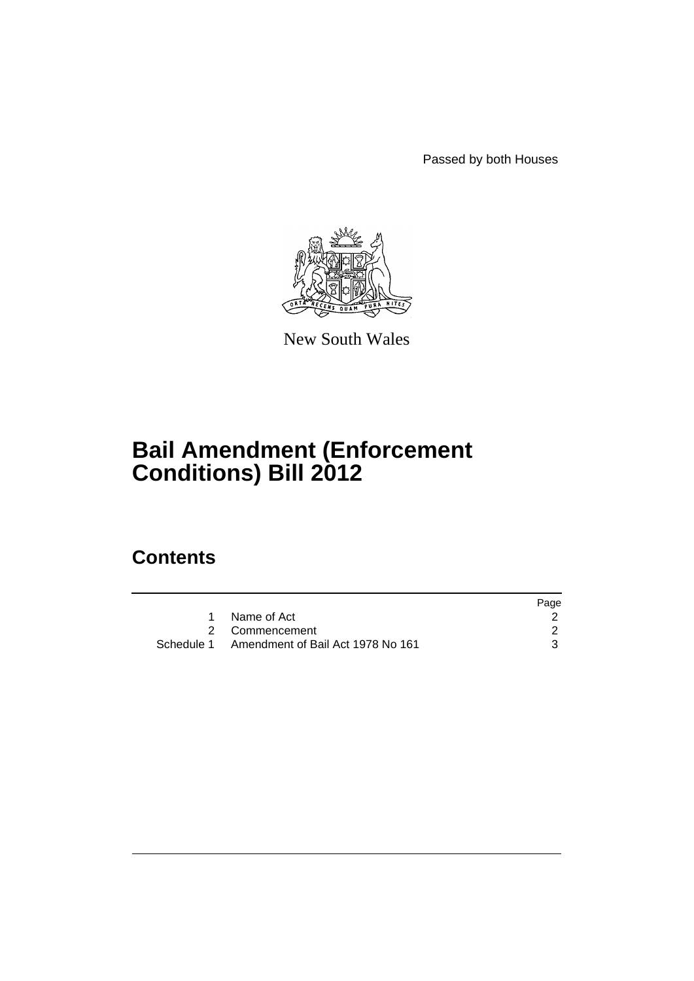Passed by both Houses



New South Wales

# **Bail Amendment (Enforcement Conditions) Bill 2012**

# **Contents**

|                                              | Page |
|----------------------------------------------|------|
| Name of Act                                  |      |
| 2 Commencement                               |      |
| Schedule 1 Amendment of Bail Act 1978 No 161 |      |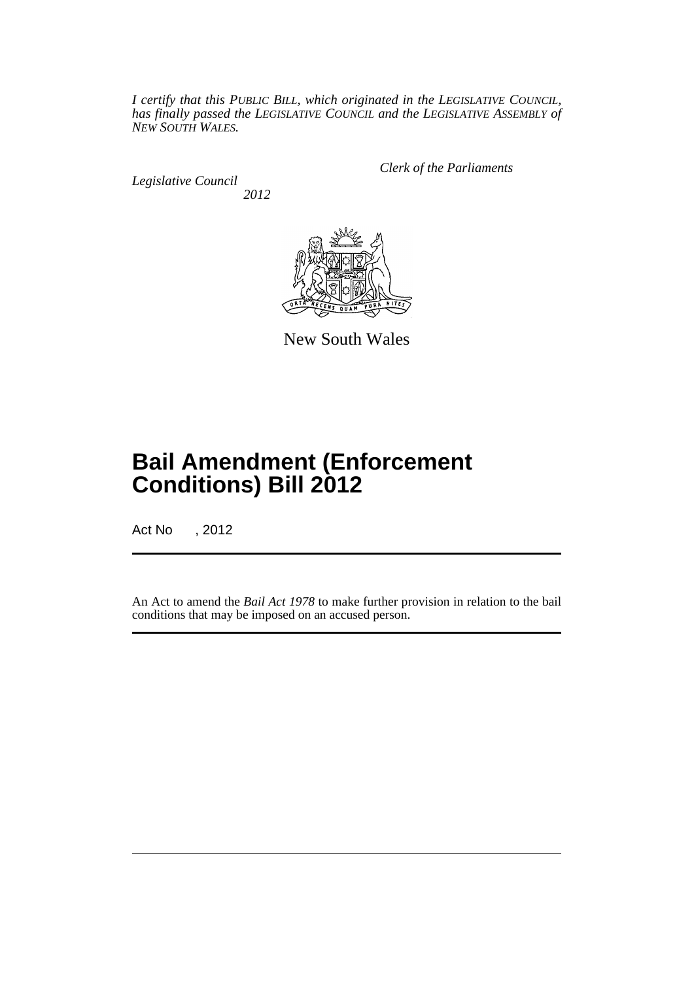*I certify that this PUBLIC BILL, which originated in the LEGISLATIVE COUNCIL, has finally passed the LEGISLATIVE COUNCIL and the LEGISLATIVE ASSEMBLY of NEW SOUTH WALES.*

*Legislative Council 2012* *Clerk of the Parliaments*



New South Wales

# **Bail Amendment (Enforcement Conditions) Bill 2012**

Act No , 2012

An Act to amend the *Bail Act 1978* to make further provision in relation to the bail conditions that may be imposed on an accused person.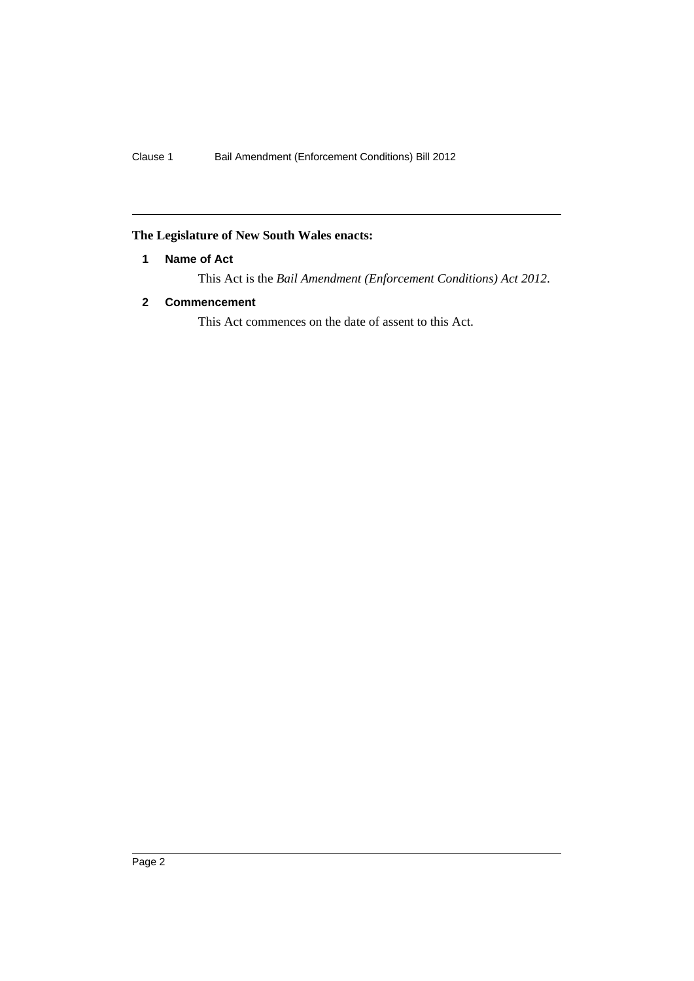### <span id="page-3-0"></span>**The Legislature of New South Wales enacts:**

#### **1 Name of Act**

This Act is the *Bail Amendment (Enforcement Conditions) Act 2012*.

#### <span id="page-3-1"></span>**2 Commencement**

This Act commences on the date of assent to this Act.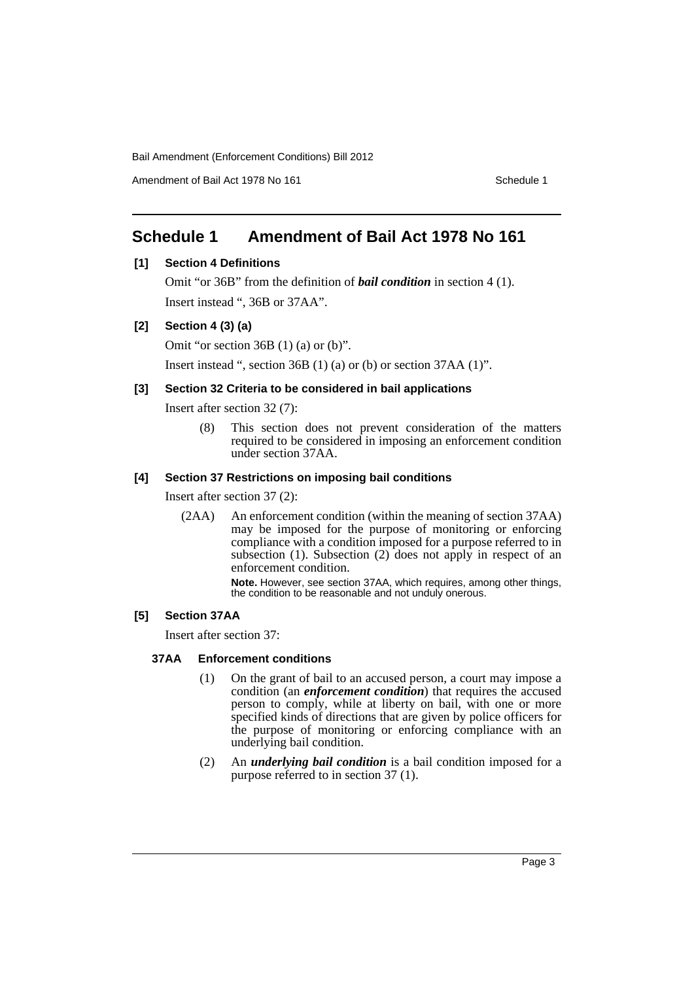Bail Amendment (Enforcement Conditions) Bill 2012

Amendment of Bail Act 1978 No 161 Schedule 1

## <span id="page-4-0"></span>**Schedule 1 Amendment of Bail Act 1978 No 161**

#### **[1] Section 4 Definitions**

Omit "or 36B" from the definition of *bail condition* in section 4 (1). Insert instead ", 36B or 37AA".

#### **[2] Section 4 (3) (a)**

Omit "or section 36B (1) (a) or (b)".

Insert instead ", section 36B (1) (a) or (b) or section 37AA (1)".

#### **[3] Section 32 Criteria to be considered in bail applications**

Insert after section 32 (7):

(8) This section does not prevent consideration of the matters required to be considered in imposing an enforcement condition under section 37AA.

#### **[4] Section 37 Restrictions on imposing bail conditions**

Insert after section 37 (2):

(2AA) An enforcement condition (within the meaning of section 37AA) may be imposed for the purpose of monitoring or enforcing compliance with a condition imposed for a purpose referred to in subsection (1). Subsection (2) does not apply in respect of an enforcement condition.

> **Note.** However, see section 37AA, which requires, among other things, the condition to be reasonable and not unduly onerous.

### **[5] Section 37AA**

Insert after section 37:

#### **37AA Enforcement conditions**

- (1) On the grant of bail to an accused person, a court may impose a condition (an *enforcement condition*) that requires the accused person to comply, while at liberty on bail, with one or more specified kinds of directions that are given by police officers for the purpose of monitoring or enforcing compliance with an underlying bail condition.
- (2) An *underlying bail condition* is a bail condition imposed for a purpose referred to in section 37 (1).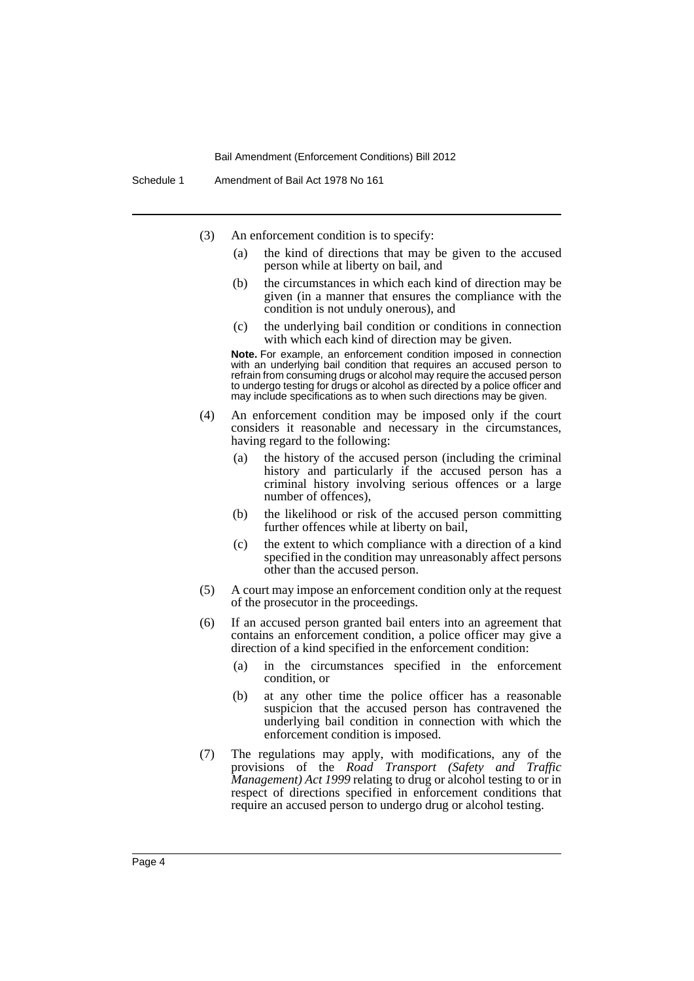#### Bail Amendment (Enforcement Conditions) Bill 2012

- (3) An enforcement condition is to specify:
	- (a) the kind of directions that may be given to the accused person while at liberty on bail, and
	- (b) the circumstances in which each kind of direction may be given (in a manner that ensures the compliance with the condition is not unduly onerous), and
	- (c) the underlying bail condition or conditions in connection with which each kind of direction may be given.

**Note.** For example, an enforcement condition imposed in connection with an underlying bail condition that requires an accused person to refrain from consuming drugs or alcohol may require the accused person to undergo testing for drugs or alcohol as directed by a police officer and may include specifications as to when such directions may be given.

- (4) An enforcement condition may be imposed only if the court considers it reasonable and necessary in the circumstances, having regard to the following:
	- (a) the history of the accused person (including the criminal history and particularly if the accused person has a criminal history involving serious offences or a large number of offences),
	- (b) the likelihood or risk of the accused person committing further offences while at liberty on bail,
	- (c) the extent to which compliance with a direction of a kind specified in the condition may unreasonably affect persons other than the accused person.
- (5) A court may impose an enforcement condition only at the request of the prosecutor in the proceedings.
- (6) If an accused person granted bail enters into an agreement that contains an enforcement condition, a police officer may give a direction of a kind specified in the enforcement condition:
	- (a) in the circumstances specified in the enforcement condition, or
	- (b) at any other time the police officer has a reasonable suspicion that the accused person has contravened the underlying bail condition in connection with which the enforcement condition is imposed.
- (7) The regulations may apply, with modifications, any of the provisions of the *Road Transport (Safety and Traffic Management) Act 1999* relating to drug or alcohol testing to or in respect of directions specified in enforcement conditions that require an accused person to undergo drug or alcohol testing.